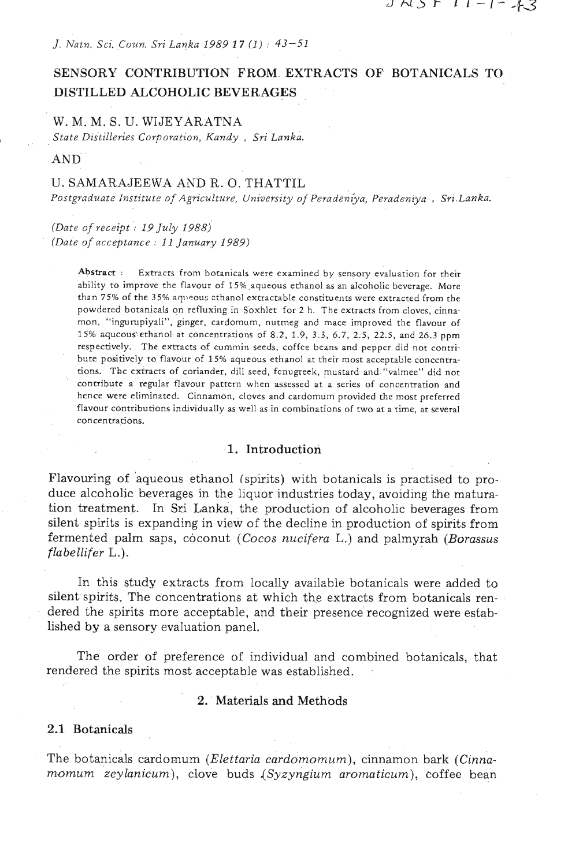*J. Natn. Sci. Coun. Sri Lanka 1989* **17** *(1)* : *43-51* 

# SENSORY CONTRIBUTION FROM EXTRACTS OF BOTANICALS TO DISTILLED ALCOHOLIC BEVERAGES

### W. M. M. S. U. WIJEYARATNA

*State Distilleries Corporation, Kandy* , *Sri Lanka.* 

AND

### U. SAMARAJEEWA AND R. 0. THATTIL

Postgraduate Institute of Agriculture, University of Peradeniya, Peradeniya , Sri Lanka.

*(Date* of *receipt* : *19 July 1988) (Date of acceptance* : *11 January 1989)* 

> Abstract : Extracts from botanicals were examined by sensory evaluation for rheir ability to improve the flavour of 15% aqueous ethanol **as** an alcoholic beverage. More than 75% of the 35% aqueous ethanol extractable constituents were extracted from the powdered botanicals on refluxing in Soxhlet for 2 **h.** The extracts from cloves, cinnamon, "ingurupiyali", ginger, cardomum, nutmeg and mace improved the flavour of 15% aqueoushethanol at concentrations of 8.2, 1.9, 3.3, **6.7,** 2.5, 22.5, and **26.3** ppm respectively. The extracts of cummin seeds, coffee bcans and pepper did not contribute positively to flavour of 15% aqueous ethanol at their most acceptable concentrations. The extracts of coriander, dill seed, fcnugreek, mustard and "valmee" did not contribute a regular flavour pattern when assessed st a series of concentration and hence were eliminated. Cinnamon, cloves and cardomum provided the most preferred flavour contributions individually as well as in combinations of two at a time, at several concentrations.

### **1.** Introduction

Flavouring of aqueous ethanol (spirits) with botanicals is practised to produce alcoholic beverages in the liquor industries today, avoiding the maturation treatment. In Sri Lanka, the production of alcoholic beverages from silent spirits is expanding in view of the decline in production of spirits from fermented palm saps, coconut (Cocos nucifera L.) and palmyrah (Borassus  $flabellifer$   $L.$ ).

In this study extracts from locally available botanicals were added to silent spirits. The concentrations at which the extracts from botanicals rendered the spirits more acceptable, and their presence recognized were established by a sensory evaluation panel.

The order of preference of individual and combined botanicals, that rendered the spirits most acceptable was established.

### **2.** Materials **and** Methods

### **2.1** Botanicals

The botanicals cardornum (Elettaria cardornomum), cinnamon bark (Cinnamomum *zeylanicum*), clove buds (Syzyngium aromaticum), coffee bean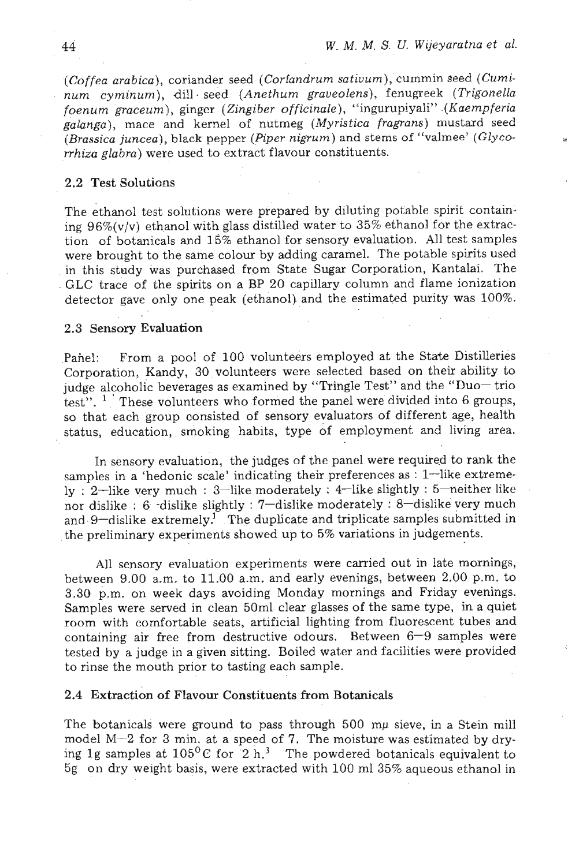(Coffea arabica), coriander seed (Cortandrum sativum), cummin seed (Cuminum cyminum), dill seed (Anethum graveolens), fenugreek (Trigonella foenum graceum), ginger (Zingiber officinale), "ingurupiyali" .(Kaempferia poenum graceum), ginger (Engroen efficiency, ingerepreficient (Errom-provident)<br>galanga), mace and kernel of nutmeg (Myristica fragrans) mustard seed<br>(Brassica juncea), black pepper (Piper nigrum) and stems of "valmee" (Gl

### 2.2 Test Solutions

The ethanol test solutions were prepared by diluting potable spirit containing  $96\%$ (v/v) ethanol with glass distilled water to  $35\%$  ethanol for the extraction of botanicals and 15% ethanol for sensory evaluation. All test samples were brought to the same colour by adding caramel. The potable spirits used in this study was purchased from State Sugar Corporation, Kantalai. The GLC trace of the spirits on a BP 20 capillary column and flame ionization detector gave only one peak (ethanol) and the estimated purity was 100%.

#### 2.3 Sensory Evaluation

.

Panel: From a pool of 100 volunteers employed at the State Distilleries Corporation, Kandy, 30 volunteers were selected based on their ability to judge alcoholic beverages as examined by "Tringle Test" and the "Duo- $\text{trio}$ test".  $1$  These volunteers who formed the panel were divided into 6 groups, so that each group consisted of sensory evaluators of different age, health status, education, smoking habits, type of employment **and** living area.

In sensory evaluation, the judges of the panel were required to rank the samples in a 'hedonic scale' indicating their preferences as : 1-like extremely : 2-like very much : 3-like moderately : 4-like slightly : 5-neither like nor dislike : 6 -dislike slightly : 7-dislike moderately : 8-dislike very much and 9-dislike extremely.<sup>1</sup> The duplicate and triplicate samples submitted in the preliminary experiments showed up to 5% variations in judgements.

All sensory evaluation experiments were carried out in late mornings, between 9.00 a.m. to 11.00 a.m. and early evenings, between 2.00 p.m. to 3.30 p.m. on week days avoiding Monday mornings and Friday evenings. Samples were served in clean 50ml clear glasses of the same type, in a quiet room with comfortable seats, artificial lighting from fluorescent tubes and containing air free from destructive odours. Between  $6-9$  samples were tested by a judge in a given sitting. Boiled water and facilities were provided to rinse the mouth prior to tasting each sample.

### 2.4 Extraction of Flavour Constituents from Botanicals

The botanicals were ground to pass through 500 mp sieve, in a Stein mill model M-2 for **3** min. at a speed of **7.** The moisture was estimated by drying 1g samples at  $105^{\circ}$ C for 2 h.<sup>3</sup> The powdered botanicals equivalent to 5g on dry weight basis, were extracted with 100 ml 35% aqueous ethanol in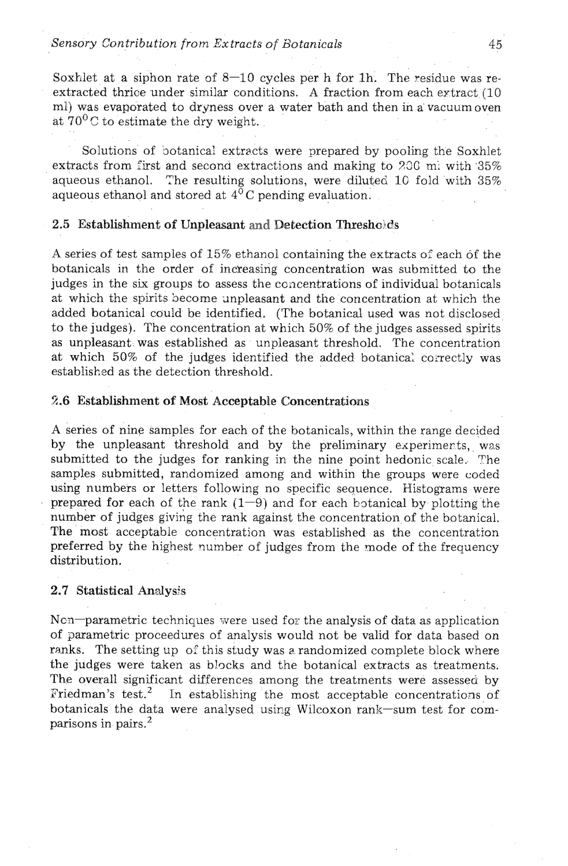Soxhlet at a siphon rate of  $8-10$  cycles per h for 1h. The residue was reextracted thrice under similar conditions. A fraction from each extract  $(10)$ ml) was evaporated to dryness over a water bath and then in a' vacuum oven at  $70^0$ C to estimate the dry weight.

Solutions of botanical extracts were prepared by pooling the Soxhlet extracts from first and second extractions and making to  $200 \text{ mi}$  with  $35\%$ aqueous ethanol. The resulting solutions, were diluted **lC** fold with 35% aqueous ethanol and stored at **4OC** pending evaluation.

### 2.5 Establishment of Unpleasant and Detection Thresholds

A series of test samples of 15% ethanol containing the extracts of each of the botanicals in the order of increasing concentration was submitted to the judges in the six groups to assess the concentrations of individual botanicals at which the spirits become unpleasant and the concentration at which the added botanical could be identified. (The botanical used was not disclosed to the judges). The concentration at which 50% of the judges assessed spirits as unpleasant was established as unpleasant threshold. The concentration at which 50% of the judges identified the added botanical correctly was established as the detection threshold.

### 2.6 Establishment of Most Acceptable Concentrations

A series of nine samples for each of the botanicals, within the range decided by the unpleasant threshold and by the preliminary experimerts, was submitted to the judges for ranking in the nine point hedonic scale. The samples submitted, randomized among and within the groups were coded using numbers or letters following no specific seauence. Histograms were prepared for each of the rank  $(1-9)$  and for each botanical by plotting the number of judges giving the rank against the concentration of the botanical. The most acceptable concentration was established as the concentration preferred by the highest number of judges from the mode of the frequency distribution.

### 2.7 Statistical **halysis**

Ncn-parametric techniques were used for the analysis of data as application of parametric proceedures of analysis would not be valid for data based on ranks. The setting up of this study was a randomized complete block where the judges were taken as blocks and the botanical extracts as treatments. The overall significant differences among the treatments were assessed by Friedman's test.<sup>2</sup> In establishing the most acceptable concentrations of In establishing the most acceptable concentrations of botanicals the data were analysed using Wilcoxon rank-sum test for comparisons in pairs.2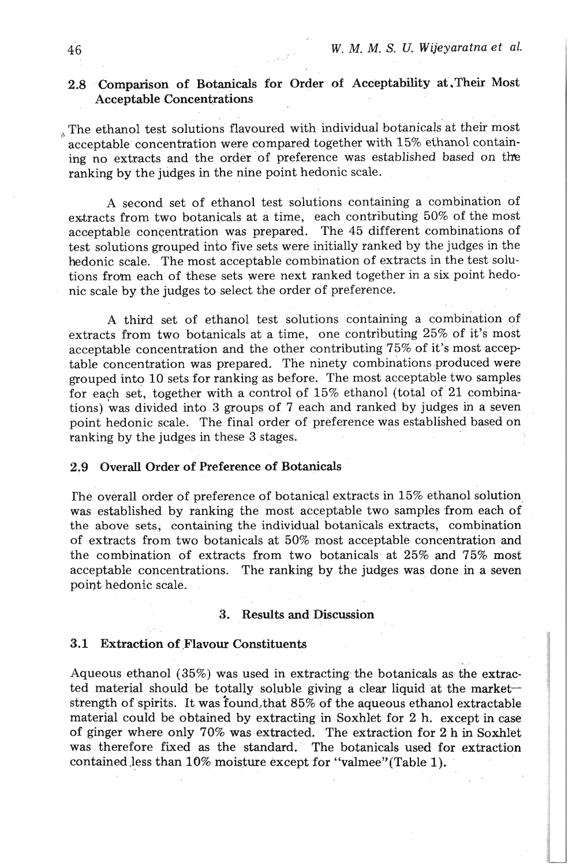## 2.8 Comparison of Botanicals for Order of Acceptability at.Their Most Acceptable Concentrations

, The ethanol test solutions flavoured with individual botanicals at their most acceptable concentration were compared together with 15% ethanol containing no extracts and the order of preference was established based on the ranking by the judges in the nine point hedonic scale.

A second set of ethanol test solutions containing a combination of extracts from two botanicals at a time, each contributing 50% of the most acceptable concentration was prepared. The 45 different combinations of test solutions grouped into five sets were initially ranked by the judges in the hedonic scale. The most acceptable combination of extracts in the test solutions from each of these sets were next ranked together in a six point hedonic scale by the judges to select the order of preference.

**A** third set of ethanol test solutions containing a combination of extracts from two botanicals at a time, one contributing 25% of it's most acceptable concentration and the other contributing 75% of it's most acceptable concentration was prepared. The ninety combinations produced were grouped into 10 sets for ranking as before. The most acceptable two samples for each set, together with a control of 15% ethanol (total of 21 combinations) was divided into 3 groups of 7 each and ranked by judges in a seven point hedonic scale. The final order of preference was established based on ranking by the judges in these **3** stages.

## 2.9 Overall Order of Preference of Botanicals

rhe overall order of preference of botanical extracts in 15% ethanol solution was established by ranking the most acceptable two samples from each of the above sets, containing the individual botanicals extracts, combination of extracts from two botanicals at 50% most acceptable concentration and the combination of extracts from two botanicals at 25% and 75% most acceptable concentrations. The ranking by the judges was done in a seven point hedonic scale.

#### 3. Results **and** Discussion

#### 3.1 Extraction of Flavour Constituents

Aqueous ethanol (35%) was used in extracting the botanicals as the extracted material should be totally soluble giving a clear liquid at the marketstrength of spirits. It was found, that 85% of the aqueous ethanol extractable material could be obtained by extracting in Soxhlet for 2 h. except in case of ginger where only 70% was extracted. The extraction for 2 h in Soxhlet was therefore fixed as the standard. The botanicals used for extraction contained less than 10% moisture except for "valmee" (Table 1).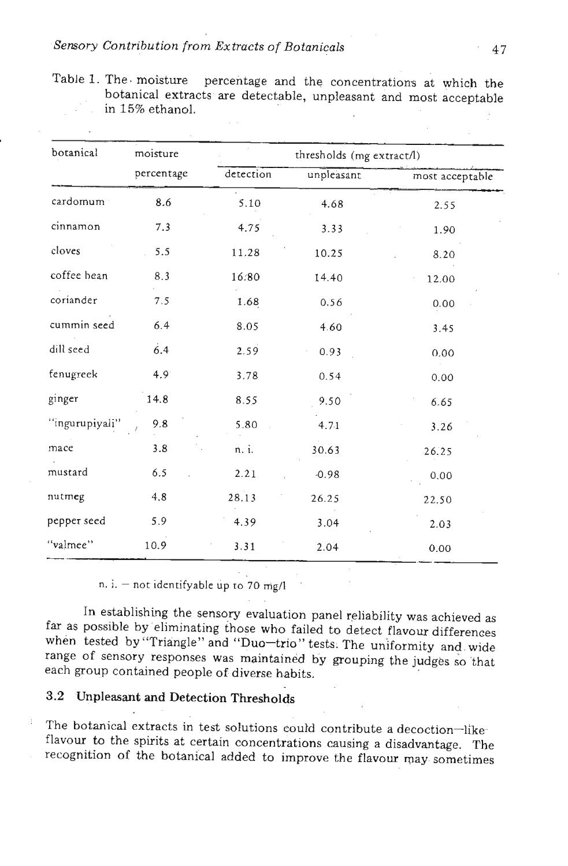## *.Sensory Contribution from Extracts of Botanicals* **.47**

| Table 1. The moisture percentage and the concentrations at which the                 |  |  |  |
|--------------------------------------------------------------------------------------|--|--|--|
| botanical extracts are detectable, unpleasant and most acceptable<br>in 15% ethanol. |  |  |  |
|                                                                                      |  |  |  |

| botanical      | moisture   | thresholds (mg extract/l) |            |                 |  |
|----------------|------------|---------------------------|------------|-----------------|--|
|                | percentage | detection                 | unpleasant | most acceptable |  |
| cardomum       | 8.6        | 5.10                      | 4.68       | 2.55            |  |
| cinnamon       | 7.3        | 4.75                      | 3.33       | 1.90            |  |
| cloves         | 5.5        | 11.28                     | 10.25      | 8.20            |  |
| coffee bean    | 8.3        | 16:80                     | 14.40      | 12.00           |  |
| coriander      | 7.5        | 1.68                      | 0.56       | 0.00            |  |
| cummin seed    | 6.4        | 8.05                      | 4.60       | 3.45            |  |
| dill seed      | 6.4        | 2.59                      | 0.93       | 0.00            |  |
| fenugreek      | 4.9        | 3.78                      | 0.54       | 0.00            |  |
| ginger         | 14.8       | 8.55                      | 9.50       | 6.65            |  |
| "ingurupiyali" | 9.8        | 5.80                      | 4.71       | 3.26            |  |
| mace           | 3.8        | n. i.                     | 30.63      | 26.25           |  |
| mustard        | 6.5        | 2.21                      | $-0.98$    | 0.00            |  |
| nutmeg         | 4.8        | 28.13                     | 26.25      | 22.50           |  |
| pepper seed    | 5.9        | 4.39                      | 3.04       | 2.03            |  |
| "valmee"       | 10.9       | 3.31                      | 2.04       | 0.00            |  |

n. i.  $-$  not identifyable up to 70 mg/l

In establishing the sensory evaluation panel reliability was achieved as far as possible by eliminating those who failed to detect flavour differences when tested by "Triangle" and "Duo-trio" tests. The uniformity and wide range of sensory responses was maintained by grouping the judges so that each group contained people of diverse habits.

# 3.2 Unpleasant and Detection Thresholds

The botanical extracts in test solutions could contribute a decoction-likeflavour to the spirits at certain concentrations causing a disadvantage. The recognition of the botanical added to improve the flavour may sometimes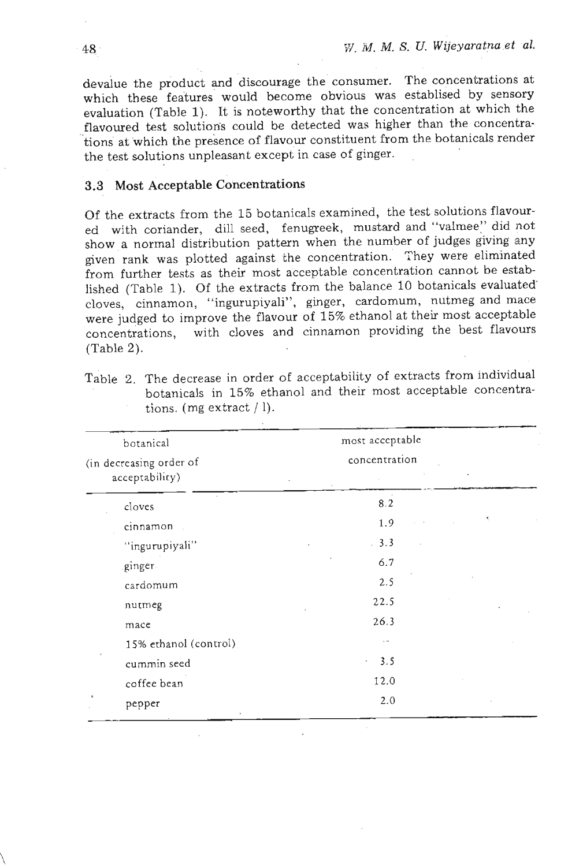devalue the product and discourage the consumer. The concentrations at which these features would become obvious was establised by sensory evaluation (Table 1). It is noteworthy that the concentration at which the flavoured test solutions could be detected was higher than the concentra- 'tions at which the presence of flavour constituent from the botanicals render the test solutions unpleasant except in case of ginger.

### **3.3 Most Acceptable Concentrations**

Of the extracts from the 15 botanicals examined, the test solutions flavoured with coriander, dill seed, fenugreek, mustard and "valmee" did not show a normal distribution pattern when the number of judges giving any given rank was plotted against the concentration. They were eliminated from further tests as their most acceptable concentration cannot be established (Table 1). Of the extracts from the balance 10 botanicals evaluated' cloves, cinnamon, "ingurupiyali", ginger, cardomum, nutmeg and mace were judged to improve the flavour of 15% ethanol at their most acceptable concentrations, with cloves and cinnamon providing the best flavours (Table 2).

| botanical<br>(in decreasing order of<br>acceptability) | most acceptable<br>concentration |  |
|--------------------------------------------------------|----------------------------------|--|
| cloves                                                 | $8.2\,$                          |  |
| cinnamon                                               | 1.9                              |  |
| "ingurupiyali"                                         | 3.3                              |  |
| ginger.                                                | 6.7                              |  |
| cardomum                                               | 2.5                              |  |
| nutmeg                                                 | 22.5                             |  |
| mace                                                   | 26.3                             |  |
| 15% ethanol (control)                                  | $\ddot{\phantom{0}}$             |  |
| cummin seed                                            | 3.5<br>$\sim$                    |  |
| coffee bean                                            | 12.0                             |  |
| pepper                                                 | 2.0                              |  |

Table 2. The decrease in order of acceptability of extracts from individual botanicals in 15% ethanol and their most acceptable concentrations. (mg extract / 1).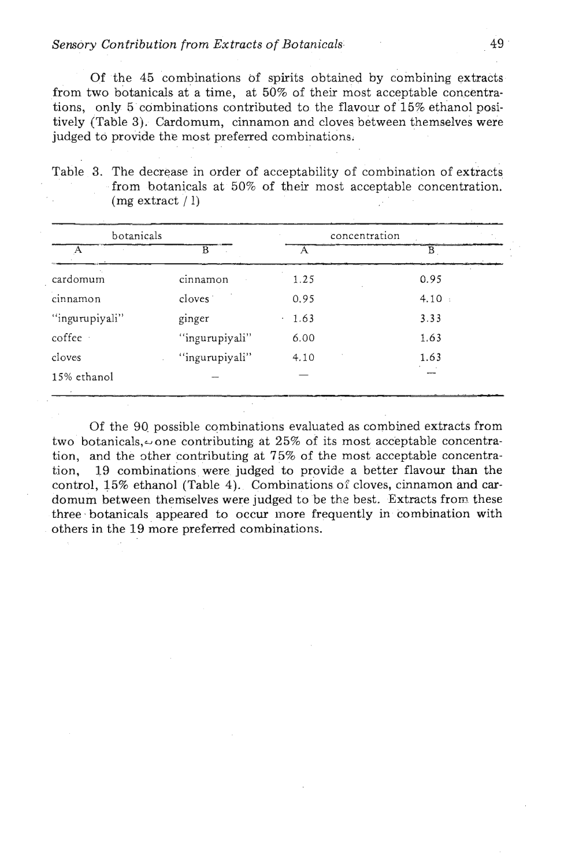Of the 45 combinations of spirits obtained by combining extracts from two botanicals at a time, at 50% of their most acceptable concentrations, only 5 combinations contributed to the flavour of 15% ethanol positively (Table **3).** Cardomum, cinnamon and cloves between themselves were judged to provide the most preferred combinations.

Table **3.** The decrease in order of acceptability of combination of extracts from botanicals at 50% of their most acceptable concentration.  $(mg extract / 1)$ 

| botanicals          | concentration |        |
|---------------------|---------------|--------|
| R                   |               | B      |
| cinnamon            | 1.25          | 0.95   |
| cloves <sup>-</sup> | 0.95          | 4.10 : |
| ginger              | 1.63          | 3.33   |
| "ingurupiyali"      | 6.00          | 1.63   |
| "ingurupiyali"      | 4.10          | 1.63   |
|                     |               |        |
|                     |               |        |

Of the 90 possible combinations evaluated as combined extracts from two botanicals, $\omega$  one contributing at 25% of its most acceptable concentration, and the other contributing at  $75\%$  of the most acceptable concentration, 19 combinations were judged to provide a better flavour than the control, 15% ethanol (Table 4). Combinations of cloves, cinnamon and cardomum between themselves were judged to be the best. Extracts from these three botanicals appeared to occur inore frequently in combination with others in the 19 more preferred combinations.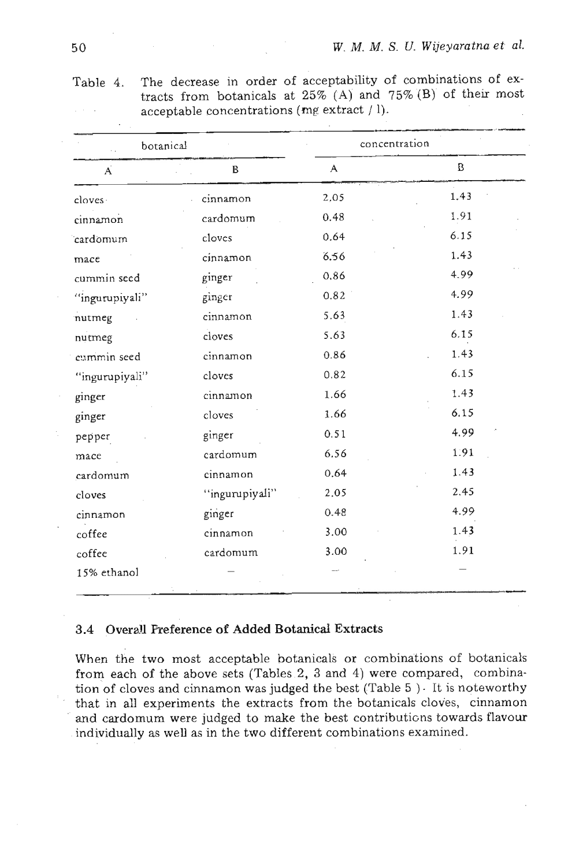| botanical      |                | concentration |      |  |
|----------------|----------------|---------------|------|--|
| Ä              | $\, {\bf B}$   | A             | B    |  |
| cloves.        | cinnamon       | 2,05          | 1.43 |  |
| cinnamon       | cardomum       | 0.48          | 1.91 |  |
| cardomum       | cloves         | 0.64          | 6.15 |  |
| mace           | cinnamon       | 6.56          | 1.43 |  |
| cummin seed    | ginger         | 0.86          | 4.99 |  |
| "ingurupiyali" | ginger         | 0.82          | 4.99 |  |
| nutmeg         | cinnamon       | 5.63          | 1.43 |  |
| nutmeg         | cloves         | 5.63          | 6.15 |  |
| cummin seed    | cinnamon       | 0.86          | 1.43 |  |
| "ingurupiyali" | cloves         | 0.82          | 6.15 |  |
| ginger         | cinnamon       | 1.66          | 1.43 |  |
| ginger         | cloves         | 1.66          | 6.15 |  |
| pepper         | ginger         | 0.51          | 4.99 |  |
| mace           | cardomum       | 6.56          | 1.91 |  |
| cardomum       | cinnamon       | 0.64          | 1.43 |  |
| cloves         | "ingurupiyali" | 2.05          | 2.45 |  |
| cinnamon       | ginger         | 0.48          | 4.99 |  |
| coffee         | cinnamon       | 3.00          | 1.43 |  |
| coffee         | cardomum       | 3.00          | 1.91 |  |
| 15% ethanol    |                |               |      |  |

Table 4. The decrease in order of acceptability of combinations of extracts from botanicals at  $25\%$  (A) and  $75\%$  (B) of their most acceptable concentrations **(mg** extract / 1).

## **3.4 OveraU Preference of Added Botanical Extracts**

When the two most acceptable botanicals or combinations of botanicals from each of the above sets (Tables 2, **3** and 4) were compared, combination of cloves and cinnamon was judged the best (Table  $5$  ). It is noteworthy that in all experiments the extracts from the botanicals cloves, cinnamon **and** cardomum were judged to make the best contributions towards flavour individually as well as in the two different combinations examined.